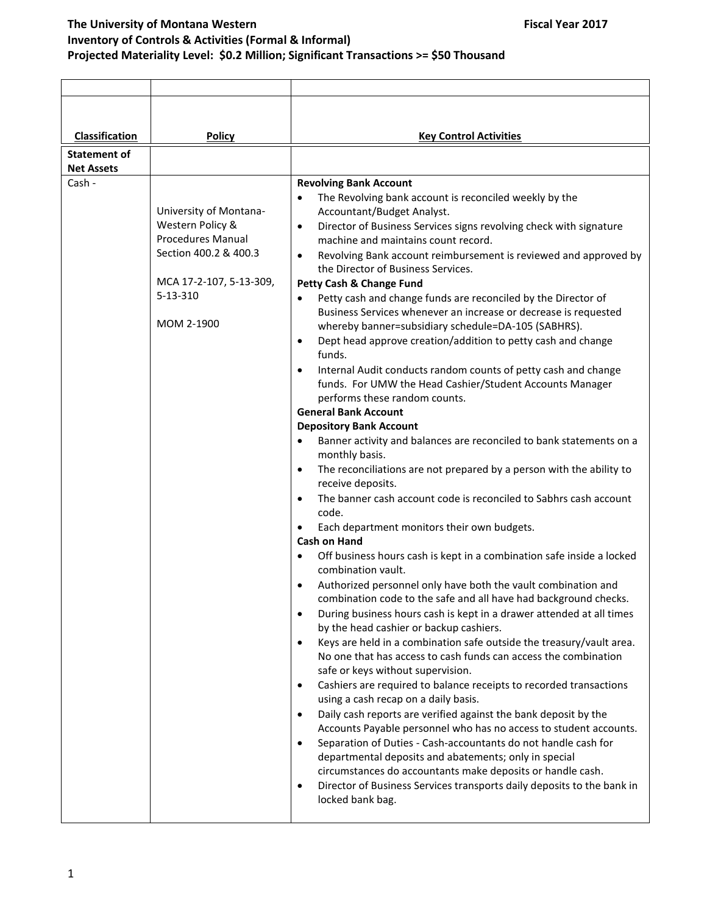| <b>Classification</b> | <b>Policy</b>           | <b>Key Control Activities</b>                                                                                                                 |
|-----------------------|-------------------------|-----------------------------------------------------------------------------------------------------------------------------------------------|
| Statement of          |                         |                                                                                                                                               |
| <b>Net Assets</b>     |                         |                                                                                                                                               |
| Cash -                |                         | <b>Revolving Bank Account</b>                                                                                                                 |
|                       |                         | The Revolving bank account is reconciled weekly by the                                                                                        |
|                       | University of Montana-  | Accountant/Budget Analyst.                                                                                                                    |
|                       | Western Policy &        | Director of Business Services signs revolving check with signature<br>$\bullet$                                                               |
|                       | Procedures Manual       | machine and maintains count record.                                                                                                           |
|                       | Section 400.2 & 400.3   | Revolving Bank account reimbursement is reviewed and approved by<br>$\bullet$                                                                 |
|                       | MCA 17-2-107, 5-13-309, | the Director of Business Services.                                                                                                            |
|                       | $5 - 13 - 310$          | Petty Cash & Change Fund                                                                                                                      |
|                       |                         | Petty cash and change funds are reconciled by the Director of<br>$\bullet$<br>Business Services whenever an increase or decrease is requested |
|                       | MOM 2-1900              | whereby banner=subsidiary schedule=DA-105 (SABHRS).                                                                                           |
|                       |                         | Dept head approve creation/addition to petty cash and change<br>$\bullet$                                                                     |
|                       |                         | funds.                                                                                                                                        |
|                       |                         | Internal Audit conducts random counts of petty cash and change<br>$\bullet$                                                                   |
|                       |                         | funds. For UMW the Head Cashier/Student Accounts Manager                                                                                      |
|                       |                         | performs these random counts.                                                                                                                 |
|                       |                         | <b>General Bank Account</b>                                                                                                                   |
|                       |                         | <b>Depository Bank Account</b><br>Banner activity and balances are reconciled to bank statements on a<br>$\bullet$                            |
|                       |                         | monthly basis.                                                                                                                                |
|                       |                         | The reconciliations are not prepared by a person with the ability to<br>$\bullet$                                                             |
|                       |                         | receive deposits.                                                                                                                             |
|                       |                         | The banner cash account code is reconciled to Sabhrs cash account<br>$\bullet$                                                                |
|                       |                         | code.                                                                                                                                         |
|                       |                         | Each department monitors their own budgets.                                                                                                   |
|                       |                         | <b>Cash on Hand</b>                                                                                                                           |
|                       |                         | Off business hours cash is kept in a combination safe inside a locked<br>combination vault.                                                   |
|                       |                         | Authorized personnel only have both the vault combination and<br>٠                                                                            |
|                       |                         | combination code to the safe and all have had background checks.                                                                              |
|                       |                         | During business hours cash is kept in a drawer attended at all times<br>$\bullet$<br>by the head cashier or backup cashiers.                  |
|                       |                         | Keys are held in a combination safe outside the treasury/vault area.<br>$\bullet$                                                             |
|                       |                         | No one that has access to cash funds can access the combination                                                                               |
|                       |                         | safe or keys without supervision.                                                                                                             |
|                       |                         | Cashiers are required to balance receipts to recorded transactions<br>$\bullet$                                                               |
|                       |                         | using a cash recap on a daily basis.<br>Daily cash reports are verified against the bank deposit by the<br>$\bullet$                          |
|                       |                         | Accounts Payable personnel who has no access to student accounts.                                                                             |
|                       |                         | Separation of Duties - Cash-accountants do not handle cash for<br>$\bullet$                                                                   |
|                       |                         | departmental deposits and abatements; only in special                                                                                         |
|                       |                         | circumstances do accountants make deposits or handle cash.                                                                                    |
|                       |                         | Director of Business Services transports daily deposits to the bank in<br>$\bullet$                                                           |
|                       |                         | locked bank bag.                                                                                                                              |
|                       |                         |                                                                                                                                               |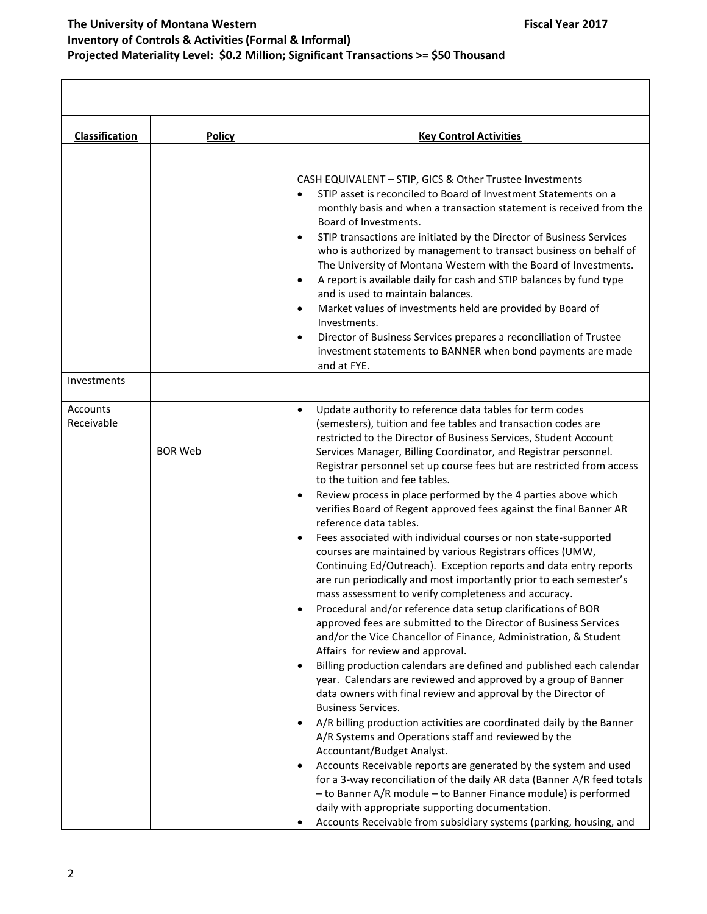| <b>Classification</b>  | <b>Policy</b>  | <b>Key Control Activities</b>                                                                                                                                                                                                                                                                                                                                                                                                                                                                                                                                                                                                                                                                                                                                                                                                                                                                                                                                                                                                                                                                                                                                                                                                                                                                                                                                                                                                                                                                                                                                                                                                                                                                                                                                                                                                                                                                |
|------------------------|----------------|----------------------------------------------------------------------------------------------------------------------------------------------------------------------------------------------------------------------------------------------------------------------------------------------------------------------------------------------------------------------------------------------------------------------------------------------------------------------------------------------------------------------------------------------------------------------------------------------------------------------------------------------------------------------------------------------------------------------------------------------------------------------------------------------------------------------------------------------------------------------------------------------------------------------------------------------------------------------------------------------------------------------------------------------------------------------------------------------------------------------------------------------------------------------------------------------------------------------------------------------------------------------------------------------------------------------------------------------------------------------------------------------------------------------------------------------------------------------------------------------------------------------------------------------------------------------------------------------------------------------------------------------------------------------------------------------------------------------------------------------------------------------------------------------------------------------------------------------------------------------------------------------|
|                        |                | CASH EQUIVALENT - STIP, GICS & Other Trustee Investments<br>STIP asset is reconciled to Board of Investment Statements on a<br>monthly basis and when a transaction statement is received from the<br>Board of Investments.<br>STIP transactions are initiated by the Director of Business Services<br>$\bullet$<br>who is authorized by management to transact business on behalf of<br>The University of Montana Western with the Board of Investments.<br>A report is available daily for cash and STIP balances by fund type<br>$\bullet$<br>and is used to maintain balances.<br>Market values of investments held are provided by Board of<br>$\bullet$<br>Investments.<br>Director of Business Services prepares a reconciliation of Trustee<br>$\bullet$<br>investment statements to BANNER when bond payments are made<br>and at FYE.                                                                                                                                                                                                                                                                                                                                                                                                                                                                                                                                                                                                                                                                                                                                                                                                                                                                                                                                                                                                                                               |
| Investments            |                |                                                                                                                                                                                                                                                                                                                                                                                                                                                                                                                                                                                                                                                                                                                                                                                                                                                                                                                                                                                                                                                                                                                                                                                                                                                                                                                                                                                                                                                                                                                                                                                                                                                                                                                                                                                                                                                                                              |
| Accounts<br>Receivable | <b>BOR Web</b> | Update authority to reference data tables for term codes<br>$\bullet$<br>(semesters), tuition and fee tables and transaction codes are<br>restricted to the Director of Business Services, Student Account<br>Services Manager, Billing Coordinator, and Registrar personnel.<br>Registrar personnel set up course fees but are restricted from access<br>to the tuition and fee tables.<br>Review process in place performed by the 4 parties above which<br>verifies Board of Regent approved fees against the final Banner AR<br>reference data tables.<br>Fees associated with individual courses or non state-supported<br>courses are maintained by various Registrars offices (UMW,<br>Continuing Ed/Outreach). Exception reports and data entry reports<br>are run periodically and most importantly prior to each semester's<br>mass assessment to verify completeness and accuracy.<br>Procedural and/or reference data setup clarifications of BOR<br>approved fees are submitted to the Director of Business Services<br>and/or the Vice Chancellor of Finance, Administration, & Student<br>Affairs for review and approval.<br>Billing production calendars are defined and published each calendar<br>year. Calendars are reviewed and approved by a group of Banner<br>data owners with final review and approval by the Director of<br><b>Business Services.</b><br>A/R billing production activities are coordinated daily by the Banner<br>A/R Systems and Operations staff and reviewed by the<br>Accountant/Budget Analyst.<br>Accounts Receivable reports are generated by the system and used<br>for a 3-way reconciliation of the daily AR data (Banner A/R feed totals<br>- to Banner A/R module - to Banner Finance module) is performed<br>daily with appropriate supporting documentation.<br>Accounts Receivable from subsidiary systems (parking, housing, and |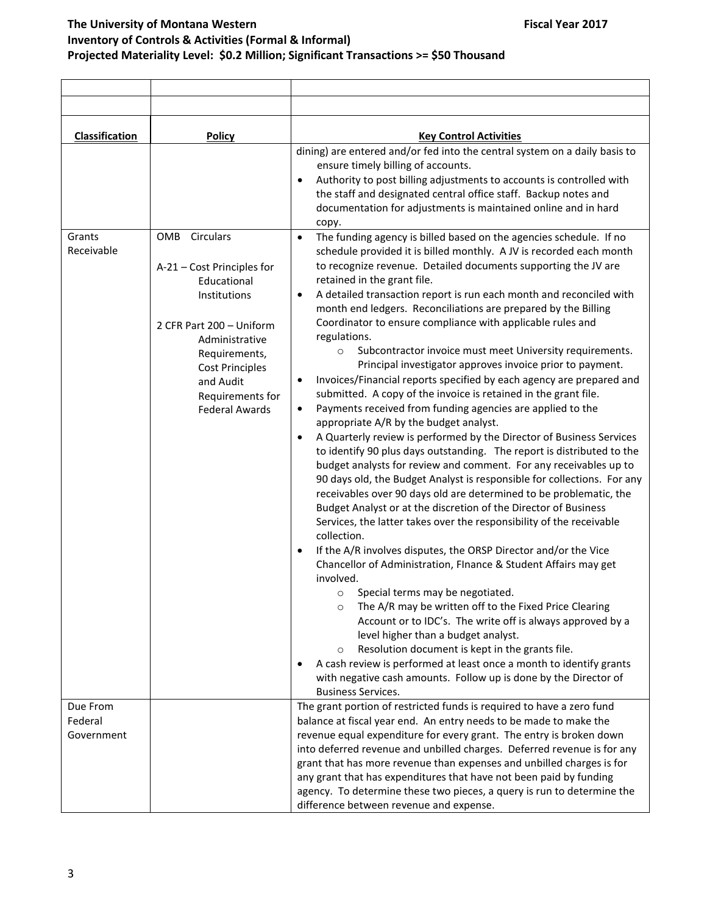| Classification                                                                                                                                                                                                                                                                                                                                                                                                   | <b>Policy</b>                                                                                                                                                                                                                                                                                                                                                                                                                                                                                                                                                                                                                                                                                                                                                                                                                                                                                                                                                                                                                                                                                                                                                                                                                                                                                                                                                                                                                                                                                                                                                                                                                                                                                                         | <b>Key Control Activities</b>                                                                                                                                                                                                                                                                                                                                                                                                                                                                                                                                    |
|------------------------------------------------------------------------------------------------------------------------------------------------------------------------------------------------------------------------------------------------------------------------------------------------------------------------------------------------------------------------------------------------------------------|-----------------------------------------------------------------------------------------------------------------------------------------------------------------------------------------------------------------------------------------------------------------------------------------------------------------------------------------------------------------------------------------------------------------------------------------------------------------------------------------------------------------------------------------------------------------------------------------------------------------------------------------------------------------------------------------------------------------------------------------------------------------------------------------------------------------------------------------------------------------------------------------------------------------------------------------------------------------------------------------------------------------------------------------------------------------------------------------------------------------------------------------------------------------------------------------------------------------------------------------------------------------------------------------------------------------------------------------------------------------------------------------------------------------------------------------------------------------------------------------------------------------------------------------------------------------------------------------------------------------------------------------------------------------------------------------------------------------------|------------------------------------------------------------------------------------------------------------------------------------------------------------------------------------------------------------------------------------------------------------------------------------------------------------------------------------------------------------------------------------------------------------------------------------------------------------------------------------------------------------------------------------------------------------------|
| $\bullet$<br>copy.<br>OMB<br>Circulars<br>Grants<br>$\bullet$<br>Receivable<br>A-21 - Cost Principles for<br>retained in the grant file.<br>Educational<br>Institutions<br>$\bullet$<br>2 CFR Part 200 - Uniform<br>regulations.<br>Administrative<br>$\circ$<br>Requirements,<br><b>Cost Principles</b><br>and Audit<br>٠<br>Requirements for<br><b>Federal Awards</b><br>$\bullet$<br>$\bullet$<br>collection. | dining) are entered and/or fed into the central system on a daily basis to<br>ensure timely billing of accounts.<br>Authority to post billing adjustments to accounts is controlled with<br>the staff and designated central office staff. Backup notes and<br>documentation for adjustments is maintained online and in hard<br>The funding agency is billed based on the agencies schedule. If no<br>schedule provided it is billed monthly. A JV is recorded each month<br>to recognize revenue. Detailed documents supporting the JV are<br>A detailed transaction report is run each month and reconciled with<br>month end ledgers. Reconciliations are prepared by the Billing<br>Coordinator to ensure compliance with applicable rules and<br>Subcontractor invoice must meet University requirements.<br>Principal investigator approves invoice prior to payment.<br>Invoices/Financial reports specified by each agency are prepared and<br>submitted. A copy of the invoice is retained in the grant file.<br>Payments received from funding agencies are applied to the<br>appropriate A/R by the budget analyst.<br>A Quarterly review is performed by the Director of Business Services<br>to identify 90 plus days outstanding. The report is distributed to the<br>budget analysts for review and comment. For any receivables up to<br>90 days old, the Budget Analyst is responsible for collections. For any<br>receivables over 90 days old are determined to be problematic, the<br>Budget Analyst or at the discretion of the Director of Business<br>Services, the latter takes over the responsibility of the receivable<br>If the A/R involves disputes, the ORSP Director and/or the Vice |                                                                                                                                                                                                                                                                                                                                                                                                                                                                                                                                                                  |
|                                                                                                                                                                                                                                                                                                                                                                                                                  |                                                                                                                                                                                                                                                                                                                                                                                                                                                                                                                                                                                                                                                                                                                                                                                                                                                                                                                                                                                                                                                                                                                                                                                                                                                                                                                                                                                                                                                                                                                                                                                                                                                                                                                       | Chancellor of Administration, FInance & Student Affairs may get<br>involved.<br>Special terms may be negotiated.<br>$\circ$<br>The A/R may be written off to the Fixed Price Clearing<br>$\circ$<br>Account or to IDC's. The write off is always approved by a<br>level higher than a budget analyst.<br>Resolution document is kept in the grants file.<br>$\circ$<br>A cash review is performed at least once a month to identify grants                                                                                                                       |
|                                                                                                                                                                                                                                                                                                                                                                                                                  |                                                                                                                                                                                                                                                                                                                                                                                                                                                                                                                                                                                                                                                                                                                                                                                                                                                                                                                                                                                                                                                                                                                                                                                                                                                                                                                                                                                                                                                                                                                                                                                                                                                                                                                       | with negative cash amounts. Follow up is done by the Director of<br><b>Business Services.</b>                                                                                                                                                                                                                                                                                                                                                                                                                                                                    |
| Due From<br>Federal<br>Government                                                                                                                                                                                                                                                                                                                                                                                |                                                                                                                                                                                                                                                                                                                                                                                                                                                                                                                                                                                                                                                                                                                                                                                                                                                                                                                                                                                                                                                                                                                                                                                                                                                                                                                                                                                                                                                                                                                                                                                                                                                                                                                       | The grant portion of restricted funds is required to have a zero fund<br>balance at fiscal year end. An entry needs to be made to make the<br>revenue equal expenditure for every grant. The entry is broken down<br>into deferred revenue and unbilled charges. Deferred revenue is for any<br>grant that has more revenue than expenses and unbilled charges is for<br>any grant that has expenditures that have not been paid by funding<br>agency. To determine these two pieces, a query is run to determine the<br>difference between revenue and expense. |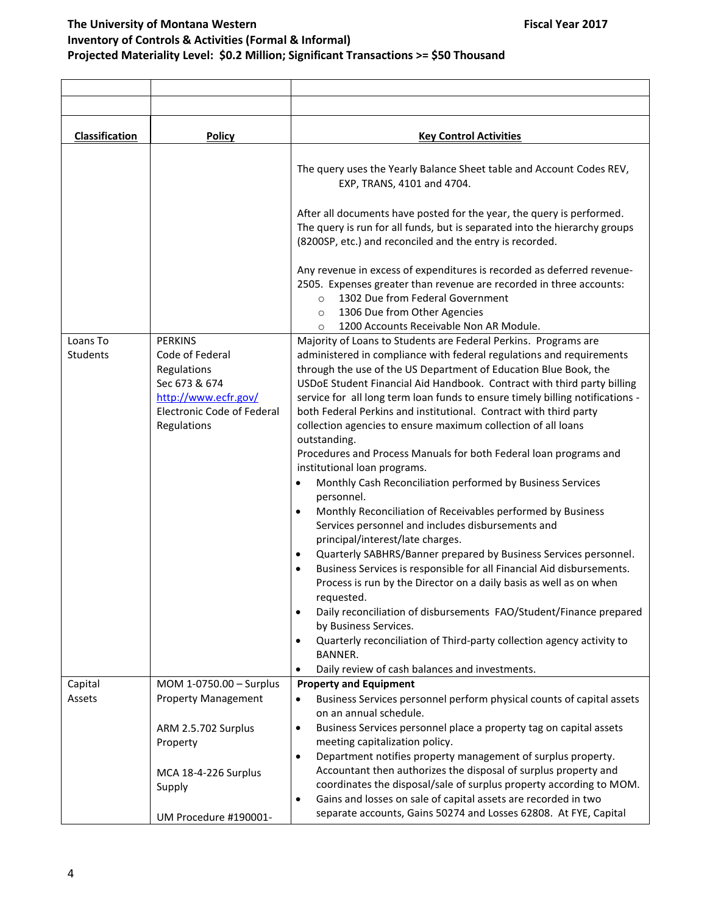| <b>Classification</b> | Policy                                                                                                                                        | <b>Key Control Activities</b>                                                                                                                                                                                                                                                                                                                                                                                                                                                                                                                                                                                                                                                                                                                                                                                                                                                                                                                                                                                                                                                                                                                                                                                                                                                                                                                         |
|-----------------------|-----------------------------------------------------------------------------------------------------------------------------------------------|-------------------------------------------------------------------------------------------------------------------------------------------------------------------------------------------------------------------------------------------------------------------------------------------------------------------------------------------------------------------------------------------------------------------------------------------------------------------------------------------------------------------------------------------------------------------------------------------------------------------------------------------------------------------------------------------------------------------------------------------------------------------------------------------------------------------------------------------------------------------------------------------------------------------------------------------------------------------------------------------------------------------------------------------------------------------------------------------------------------------------------------------------------------------------------------------------------------------------------------------------------------------------------------------------------------------------------------------------------|
|                       |                                                                                                                                               | The query uses the Yearly Balance Sheet table and Account Codes REV,<br>EXP, TRANS, 4101 and 4704.                                                                                                                                                                                                                                                                                                                                                                                                                                                                                                                                                                                                                                                                                                                                                                                                                                                                                                                                                                                                                                                                                                                                                                                                                                                    |
|                       |                                                                                                                                               | After all documents have posted for the year, the query is performed.<br>The query is run for all funds, but is separated into the hierarchy groups<br>(8200SP, etc.) and reconciled and the entry is recorded.                                                                                                                                                                                                                                                                                                                                                                                                                                                                                                                                                                                                                                                                                                                                                                                                                                                                                                                                                                                                                                                                                                                                       |
|                       |                                                                                                                                               | Any revenue in excess of expenditures is recorded as deferred revenue-<br>2505. Expenses greater than revenue are recorded in three accounts:<br>1302 Due from Federal Government<br>$\Omega$<br>1306 Due from Other Agencies<br>$\circ$                                                                                                                                                                                                                                                                                                                                                                                                                                                                                                                                                                                                                                                                                                                                                                                                                                                                                                                                                                                                                                                                                                              |
|                       |                                                                                                                                               | 1200 Accounts Receivable Non AR Module.<br>$\circ$                                                                                                                                                                                                                                                                                                                                                                                                                                                                                                                                                                                                                                                                                                                                                                                                                                                                                                                                                                                                                                                                                                                                                                                                                                                                                                    |
| Loans To<br>Students  | <b>PERKINS</b><br>Code of Federal<br>Regulations<br>Sec 673 & 674<br>http://www.ecfr.gov/<br><b>Electronic Code of Federal</b><br>Regulations | Majority of Loans to Students are Federal Perkins. Programs are<br>administered in compliance with federal regulations and requirements<br>through the use of the US Department of Education Blue Book, the<br>USDoE Student Financial Aid Handbook. Contract with third party billing<br>service for all long term loan funds to ensure timely billing notifications -<br>both Federal Perkins and institutional. Contract with third party<br>collection agencies to ensure maximum collection of all loans<br>outstanding.<br>Procedures and Process Manuals for both Federal loan programs and<br>institutional loan programs.<br>Monthly Cash Reconciliation performed by Business Services<br>٠<br>personnel.<br>Monthly Reconciliation of Receivables performed by Business<br>$\bullet$<br>Services personnel and includes disbursements and<br>principal/interest/late charges.<br>Quarterly SABHRS/Banner prepared by Business Services personnel.<br>$\bullet$<br>Business Services is responsible for all Financial Aid disbursements.<br>$\bullet$<br>Process is run by the Director on a daily basis as well as on when<br>reauested.<br>Daily reconciliation of disbursements FAO/Student/Finance prepared<br>$\bullet$<br>by Business Services.<br>Quarterly reconciliation of Third-party collection agency activity to<br>$\bullet$ |
|                       |                                                                                                                                               | <b>BANNER.</b>                                                                                                                                                                                                                                                                                                                                                                                                                                                                                                                                                                                                                                                                                                                                                                                                                                                                                                                                                                                                                                                                                                                                                                                                                                                                                                                                        |
|                       |                                                                                                                                               | Daily review of cash balances and investments.<br>٠                                                                                                                                                                                                                                                                                                                                                                                                                                                                                                                                                                                                                                                                                                                                                                                                                                                                                                                                                                                                                                                                                                                                                                                                                                                                                                   |
| Capital<br>Assets     | MOM 1-0750.00 - Surplus<br><b>Property Management</b>                                                                                         | <b>Property and Equipment</b><br>Business Services personnel perform physical counts of capital assets<br>٠<br>on an annual schedule.                                                                                                                                                                                                                                                                                                                                                                                                                                                                                                                                                                                                                                                                                                                                                                                                                                                                                                                                                                                                                                                                                                                                                                                                                 |
|                       | ARM 2.5.702 Surplus<br>Property<br>MCA 18-4-226 Surplus<br>Supply                                                                             | Business Services personnel place a property tag on capital assets<br>$\bullet$<br>meeting capitalization policy.<br>Department notifies property management of surplus property.<br>$\bullet$<br>Accountant then authorizes the disposal of surplus property and<br>coordinates the disposal/sale of surplus property according to MOM.                                                                                                                                                                                                                                                                                                                                                                                                                                                                                                                                                                                                                                                                                                                                                                                                                                                                                                                                                                                                              |
|                       | UM Procedure #190001-                                                                                                                         | Gains and losses on sale of capital assets are recorded in two<br>$\bullet$<br>separate accounts, Gains 50274 and Losses 62808. At FYE, Capital                                                                                                                                                                                                                                                                                                                                                                                                                                                                                                                                                                                                                                                                                                                                                                                                                                                                                                                                                                                                                                                                                                                                                                                                       |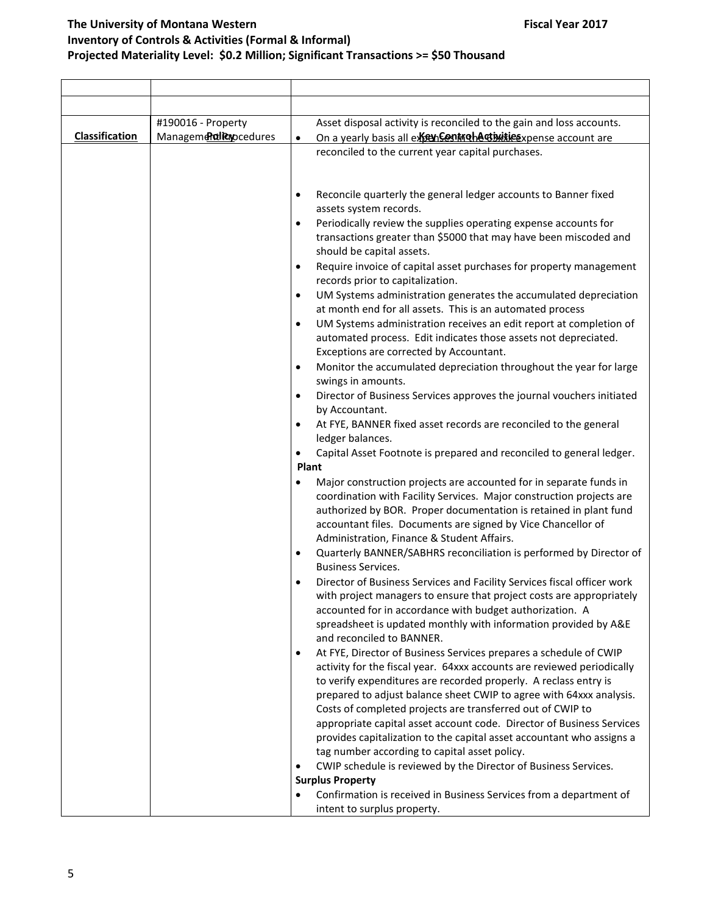|                | #190016 - Property    | Asset disposal activity is reconciled to the gain and loss accounts.                                                              |
|----------------|-----------------------|-----------------------------------------------------------------------------------------------------------------------------------|
| Classification | Managemendianocedures | On a yearly basis all expendent or hard in the system account are<br>$\bullet$                                                    |
|                |                       | reconciled to the current year capital purchases.                                                                                 |
|                |                       |                                                                                                                                   |
|                |                       |                                                                                                                                   |
|                |                       | Reconcile quarterly the general ledger accounts to Banner fixed<br>٠                                                              |
|                |                       | assets system records.                                                                                                            |
|                |                       | Periodically review the supplies operating expense accounts for                                                                   |
|                |                       | transactions greater than \$5000 that may have been miscoded and                                                                  |
|                |                       | should be capital assets.                                                                                                         |
|                |                       | Require invoice of capital asset purchases for property management<br>$\bullet$<br>records prior to capitalization.               |
|                |                       | UM Systems administration generates the accumulated depreciation<br>$\bullet$                                                     |
|                |                       | at month end for all assets. This is an automated process                                                                         |
|                |                       | UM Systems administration receives an edit report at completion of<br>$\bullet$                                                   |
|                |                       | automated process. Edit indicates those assets not depreciated.                                                                   |
|                |                       | Exceptions are corrected by Accountant.                                                                                           |
|                |                       | Monitor the accumulated depreciation throughout the year for large<br>$\bullet$                                                   |
|                |                       | swings in amounts.                                                                                                                |
|                |                       | Director of Business Services approves the journal vouchers initiated<br>$\bullet$                                                |
|                |                       | by Accountant.                                                                                                                    |
|                |                       | At FYE, BANNER fixed asset records are reconciled to the general<br>ledger balances.                                              |
|                |                       | Capital Asset Footnote is prepared and reconciled to general ledger.                                                              |
|                |                       | Plant                                                                                                                             |
|                |                       | Major construction projects are accounted for in separate funds in                                                                |
|                |                       | coordination with Facility Services. Major construction projects are                                                              |
|                |                       | authorized by BOR. Proper documentation is retained in plant fund                                                                 |
|                |                       | accountant files. Documents are signed by Vice Chancellor of                                                                      |
|                |                       | Administration, Finance & Student Affairs.                                                                                        |
|                |                       | Quarterly BANNER/SABHRS reconciliation is performed by Director of<br>$\bullet$<br><b>Business Services.</b>                      |
|                |                       | Director of Business Services and Facility Services fiscal officer work                                                           |
|                |                       | with project managers to ensure that project costs are appropriately                                                              |
|                |                       | accounted for in accordance with budget authorization. A                                                                          |
|                |                       | spreadsheet is updated monthly with information provided by A&E                                                                   |
|                |                       | and reconciled to BANNER.                                                                                                         |
|                |                       | At FYE, Director of Business Services prepares a schedule of CWIP<br>٠                                                            |
|                |                       | activity for the fiscal year. 64xxx accounts are reviewed periodically                                                            |
|                |                       | to verify expenditures are recorded properly. A reclass entry is                                                                  |
|                |                       | prepared to adjust balance sheet CWIP to agree with 64xxx analysis.<br>Costs of completed projects are transferred out of CWIP to |
|                |                       | appropriate capital asset account code. Director of Business Services                                                             |
|                |                       | provides capitalization to the capital asset accountant who assigns a                                                             |
|                |                       | tag number according to capital asset policy.                                                                                     |
|                |                       | CWIP schedule is reviewed by the Director of Business Services.                                                                   |
|                |                       | <b>Surplus Property</b>                                                                                                           |
|                |                       | Confirmation is received in Business Services from a department of                                                                |
|                |                       | intent to surplus property.                                                                                                       |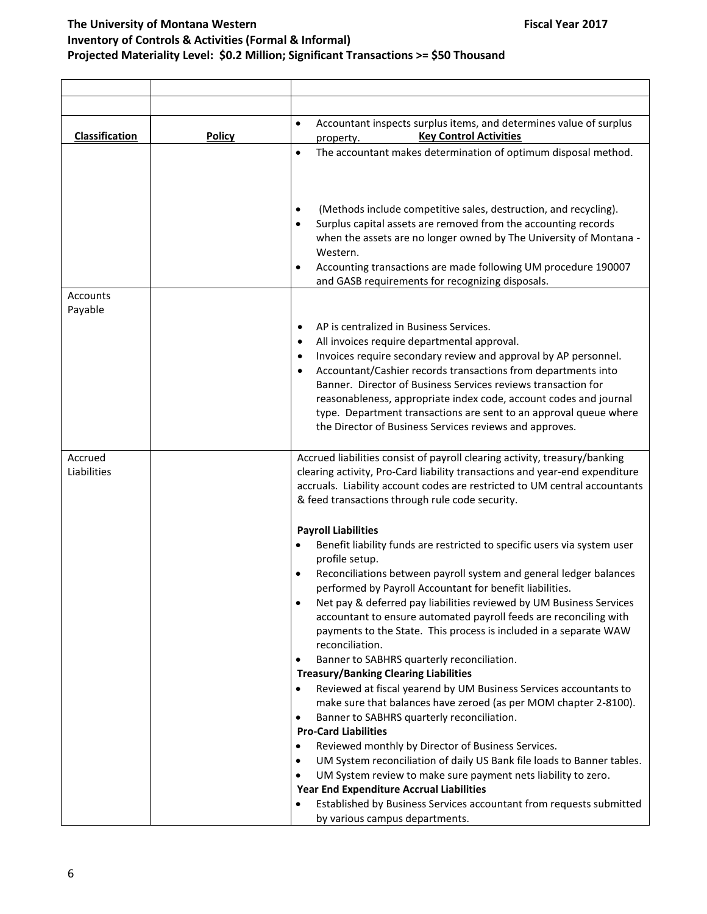| <b>Classification</b>  | <b>Policy</b> | Accountant inspects surplus items, and determines value of surplus<br>$\bullet$<br><b>Key Control Activities</b><br>property.                                                                                                                                                                                                                                                                                                                                                                                                                                                                                                                                                                                                                                                                                                                                                                                                                                                                                                                                                                                                                                                                        |
|------------------------|---------------|------------------------------------------------------------------------------------------------------------------------------------------------------------------------------------------------------------------------------------------------------------------------------------------------------------------------------------------------------------------------------------------------------------------------------------------------------------------------------------------------------------------------------------------------------------------------------------------------------------------------------------------------------------------------------------------------------------------------------------------------------------------------------------------------------------------------------------------------------------------------------------------------------------------------------------------------------------------------------------------------------------------------------------------------------------------------------------------------------------------------------------------------------------------------------------------------------|
|                        |               | The accountant makes determination of optimum disposal method.<br>$\bullet$                                                                                                                                                                                                                                                                                                                                                                                                                                                                                                                                                                                                                                                                                                                                                                                                                                                                                                                                                                                                                                                                                                                          |
|                        |               | (Methods include competitive sales, destruction, and recycling).<br>$\bullet$<br>Surplus capital assets are removed from the accounting records<br>when the assets are no longer owned by The University of Montana -<br>Western.<br>Accounting transactions are made following UM procedure 190007<br>and GASB requirements for recognizing disposals.                                                                                                                                                                                                                                                                                                                                                                                                                                                                                                                                                                                                                                                                                                                                                                                                                                              |
| Accounts               |               |                                                                                                                                                                                                                                                                                                                                                                                                                                                                                                                                                                                                                                                                                                                                                                                                                                                                                                                                                                                                                                                                                                                                                                                                      |
| Payable                |               | AP is centralized in Business Services.<br>٠<br>All invoices require departmental approval.<br>$\bullet$<br>Invoices require secondary review and approval by AP personnel.<br>٠<br>Accountant/Cashier records transactions from departments into<br>Banner. Director of Business Services reviews transaction for<br>reasonableness, appropriate index code, account codes and journal<br>type. Department transactions are sent to an approval queue where<br>the Director of Business Services reviews and approves.                                                                                                                                                                                                                                                                                                                                                                                                                                                                                                                                                                                                                                                                              |
| Accrued<br>Liabilities |               | Accrued liabilities consist of payroll clearing activity, treasury/banking<br>clearing activity, Pro-Card liability transactions and year-end expenditure<br>accruals. Liability account codes are restricted to UM central accountants<br>& feed transactions through rule code security.                                                                                                                                                                                                                                                                                                                                                                                                                                                                                                                                                                                                                                                                                                                                                                                                                                                                                                           |
|                        |               | <b>Payroll Liabilities</b><br>Benefit liability funds are restricted to specific users via system user<br>profile setup.<br>Reconciliations between payroll system and general ledger balances<br>performed by Payroll Accountant for benefit liabilities.<br>Net pay & deferred pay liabilities reviewed by UM Business Services<br>accountant to ensure automated payroll feeds are reconciling with<br>payments to the State. This process is included in a separate WAW<br>reconciliation.<br>Banner to SABHRS quarterly reconciliation.<br>٠<br><b>Treasury/Banking Clearing Liabilities</b><br>Reviewed at fiscal yearend by UM Business Services accountants to<br>make sure that balances have zeroed (as per MOM chapter 2-8100).<br>Banner to SABHRS quarterly reconciliation.<br>٠<br><b>Pro-Card Liabilities</b><br>Reviewed monthly by Director of Business Services.<br>UM System reconciliation of daily US Bank file loads to Banner tables.<br>٠<br>UM System review to make sure payment nets liability to zero.<br>$\bullet$<br>Year End Expenditure Accrual Liabilities<br>Established by Business Services accountant from requests submitted<br>by various campus departments. |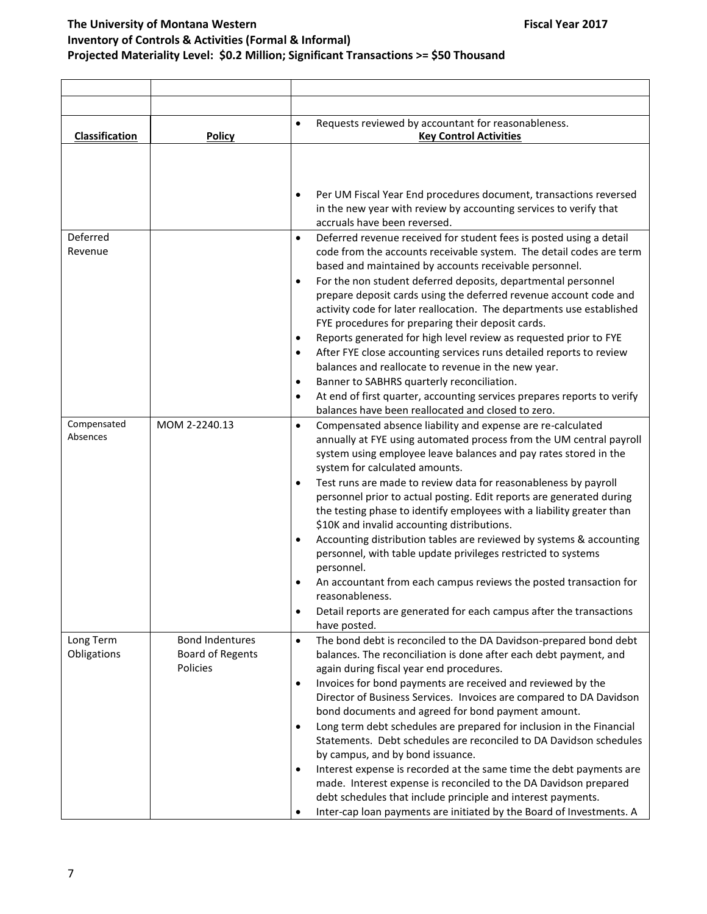| Classification           | <b>Policy</b>                                                 | Requests reviewed by accountant for reasonableness.<br>$\bullet$<br><b>Key Control Activities</b>                                                                                                                                                                                                                                                                                                                                                                                                                                                      |
|--------------------------|---------------------------------------------------------------|--------------------------------------------------------------------------------------------------------------------------------------------------------------------------------------------------------------------------------------------------------------------------------------------------------------------------------------------------------------------------------------------------------------------------------------------------------------------------------------------------------------------------------------------------------|
|                          |                                                               | Per UM Fiscal Year End procedures document, transactions reversed<br>in the new year with review by accounting services to verify that<br>accruals have been reversed.                                                                                                                                                                                                                                                                                                                                                                                 |
| Deferred<br>Revenue      |                                                               | Deferred revenue received for student fees is posted using a detail<br>$\bullet$<br>code from the accounts receivable system. The detail codes are term<br>based and maintained by accounts receivable personnel.<br>For the non student deferred deposits, departmental personnel<br>$\bullet$<br>prepare deposit cards using the deferred revenue account code and<br>activity code for later reallocation. The departments use established                                                                                                          |
|                          |                                                               | FYE procedures for preparing their deposit cards.<br>Reports generated for high level review as requested prior to FYE<br>$\bullet$<br>After FYE close accounting services runs detailed reports to review<br>$\bullet$<br>balances and reallocate to revenue in the new year.<br>Banner to SABHRS quarterly reconciliation.<br>$\bullet$<br>At end of first quarter, accounting services prepares reports to verify<br>$\bullet$<br>balances have been reallocated and closed to zero.                                                                |
| Compensated<br>Absences  | MOM 2-2240.13                                                 | Compensated absence liability and expense are re-calculated<br>$\bullet$<br>annually at FYE using automated process from the UM central payroll<br>system using employee leave balances and pay rates stored in the<br>system for calculated amounts.                                                                                                                                                                                                                                                                                                  |
|                          |                                                               | Test runs are made to review data for reasonableness by payroll<br>$\bullet$<br>personnel prior to actual posting. Edit reports are generated during<br>the testing phase to identify employees with a liability greater than<br>\$10K and invalid accounting distributions.<br>Accounting distribution tables are reviewed by systems & accounting<br>personnel, with table update privileges restricted to systems<br>personnel.                                                                                                                     |
|                          |                                                               | An accountant from each campus reviews the posted transaction for<br>reasonableness.<br>Detail reports are generated for each campus after the transactions<br>$\bullet$<br>have posted.                                                                                                                                                                                                                                                                                                                                                               |
| Long Term<br>Obligations | <b>Bond Indentures</b><br><b>Board of Regents</b><br>Policies | The bond debt is reconciled to the DA Davidson-prepared bond debt<br>$\bullet$<br>balances. The reconciliation is done after each debt payment, and<br>again during fiscal year end procedures.<br>Invoices for bond payments are received and reviewed by the<br>$\bullet$<br>Director of Business Services. Invoices are compared to DA Davidson<br>bond documents and agreed for bond payment amount.<br>Long term debt schedules are prepared for inclusion in the Financial<br>Statements. Debt schedules are reconciled to DA Davidson schedules |
|                          |                                                               | by campus, and by bond issuance.<br>Interest expense is recorded at the same time the debt payments are<br>$\bullet$<br>made. Interest expense is reconciled to the DA Davidson prepared<br>debt schedules that include principle and interest payments.<br>Inter-cap loan payments are initiated by the Board of Investments. A                                                                                                                                                                                                                       |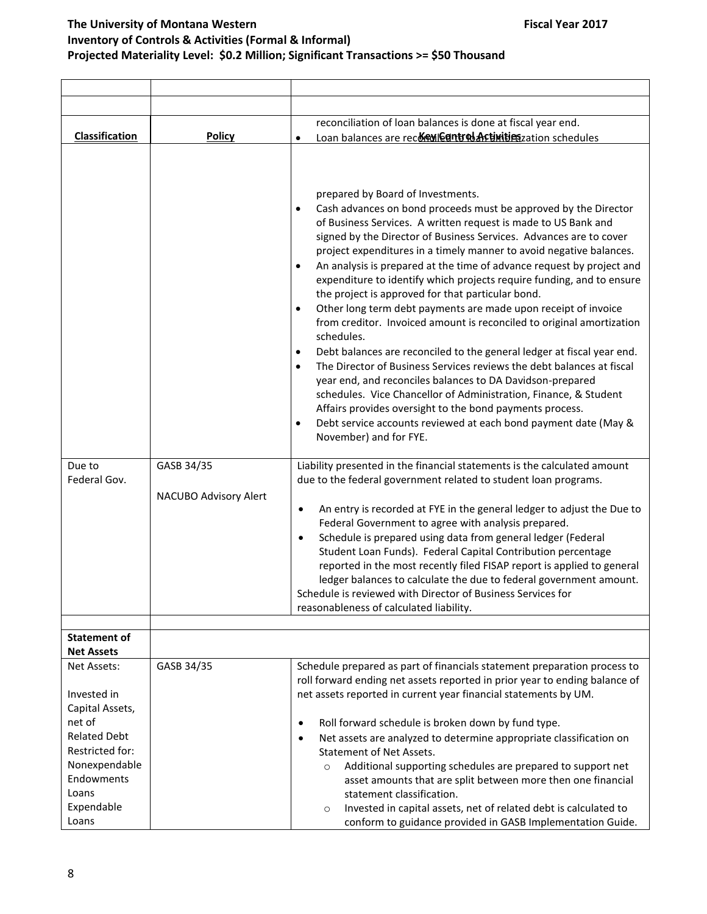|                                                                                          |                                     | reconciliation of loan balances is done at fiscal year end.                                                                                                                                                                                                                                                                                                                                                                                                                                                                                                                                                                                                                                                                                                                                                                                                                                                                                                                                                                                                                                                                                                                          |
|------------------------------------------------------------------------------------------|-------------------------------------|--------------------------------------------------------------------------------------------------------------------------------------------------------------------------------------------------------------------------------------------------------------------------------------------------------------------------------------------------------------------------------------------------------------------------------------------------------------------------------------------------------------------------------------------------------------------------------------------------------------------------------------------------------------------------------------------------------------------------------------------------------------------------------------------------------------------------------------------------------------------------------------------------------------------------------------------------------------------------------------------------------------------------------------------------------------------------------------------------------------------------------------------------------------------------------------|
| Classification                                                                           | <b>Policy</b>                       | Loan balances are recor enterprised Activities zation schedules<br>$\bullet$                                                                                                                                                                                                                                                                                                                                                                                                                                                                                                                                                                                                                                                                                                                                                                                                                                                                                                                                                                                                                                                                                                         |
|                                                                                          |                                     | prepared by Board of Investments.<br>Cash advances on bond proceeds must be approved by the Director<br>$\bullet$<br>of Business Services. A written request is made to US Bank and<br>signed by the Director of Business Services. Advances are to cover<br>project expenditures in a timely manner to avoid negative balances.<br>An analysis is prepared at the time of advance request by project and<br>expenditure to identify which projects require funding, and to ensure<br>the project is approved for that particular bond.<br>Other long term debt payments are made upon receipt of invoice<br>from creditor. Invoiced amount is reconciled to original amortization<br>schedules.<br>Debt balances are reconciled to the general ledger at fiscal year end.<br>$\bullet$<br>The Director of Business Services reviews the debt balances at fiscal<br>$\bullet$<br>year end, and reconciles balances to DA Davidson-prepared<br>schedules. Vice Chancellor of Administration, Finance, & Student<br>Affairs provides oversight to the bond payments process.<br>Debt service accounts reviewed at each bond payment date (May &<br>$\bullet$<br>November) and for FYE. |
| Due to<br>Federal Gov.                                                                   | GASB 34/35<br>NACUBO Advisory Alert | Liability presented in the financial statements is the calculated amount<br>due to the federal government related to student loan programs.<br>An entry is recorded at FYE in the general ledger to adjust the Due to<br>$\bullet$<br>Federal Government to agree with analysis prepared.<br>Schedule is prepared using data from general ledger (Federal<br>$\bullet$<br>Student Loan Funds). Federal Capital Contribution percentage<br>reported in the most recently filed FISAP report is applied to general<br>ledger balances to calculate the due to federal government amount.<br>Schedule is reviewed with Director of Business Services for<br>reasonableness of calculated liability.                                                                                                                                                                                                                                                                                                                                                                                                                                                                                     |
|                                                                                          |                                     |                                                                                                                                                                                                                                                                                                                                                                                                                                                                                                                                                                                                                                                                                                                                                                                                                                                                                                                                                                                                                                                                                                                                                                                      |
| <b>Statement of</b>                                                                      |                                     |                                                                                                                                                                                                                                                                                                                                                                                                                                                                                                                                                                                                                                                                                                                                                                                                                                                                                                                                                                                                                                                                                                                                                                                      |
| <b>Net Assets</b><br>Net Assets:                                                         | GASB 34/35                          | Schedule prepared as part of financials statement preparation process to                                                                                                                                                                                                                                                                                                                                                                                                                                                                                                                                                                                                                                                                                                                                                                                                                                                                                                                                                                                                                                                                                                             |
| Invested in<br>Capital Assets,                                                           |                                     | roll forward ending net assets reported in prior year to ending balance of<br>net assets reported in current year financial statements by UM.                                                                                                                                                                                                                                                                                                                                                                                                                                                                                                                                                                                                                                                                                                                                                                                                                                                                                                                                                                                                                                        |
| net of<br><b>Related Debt</b><br>Restricted for:<br>Nonexpendable<br>Endowments<br>Loans |                                     | Roll forward schedule is broken down by fund type.<br>$\bullet$<br>Net assets are analyzed to determine appropriate classification on<br>$\bullet$<br><b>Statement of Net Assets.</b><br>Additional supporting schedules are prepared to support net<br>$\circ$<br>asset amounts that are split between more then one financial<br>statement classification.                                                                                                                                                                                                                                                                                                                                                                                                                                                                                                                                                                                                                                                                                                                                                                                                                         |
| Expendable<br>Loans                                                                      |                                     | Invested in capital assets, net of related debt is calculated to<br>$\circ$<br>conform to guidance provided in GASB Implementation Guide.                                                                                                                                                                                                                                                                                                                                                                                                                                                                                                                                                                                                                                                                                                                                                                                                                                                                                                                                                                                                                                            |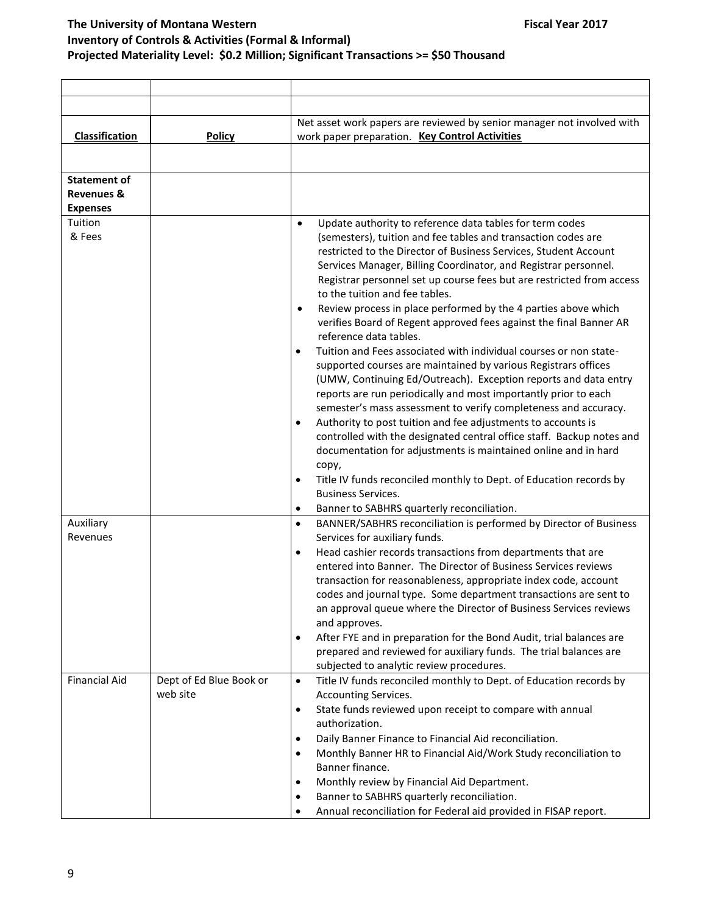|                                                                 |                                     | Net asset work papers are reviewed by senior manager not involved with                                                                                                                                                                                                                                                                                                                                                                                                                                                                                                                                                                                                                                                                                                                                                                                                                                                                                                                                                                                                                                                                                                                                                                                                                                                   |
|-----------------------------------------------------------------|-------------------------------------|--------------------------------------------------------------------------------------------------------------------------------------------------------------------------------------------------------------------------------------------------------------------------------------------------------------------------------------------------------------------------------------------------------------------------------------------------------------------------------------------------------------------------------------------------------------------------------------------------------------------------------------------------------------------------------------------------------------------------------------------------------------------------------------------------------------------------------------------------------------------------------------------------------------------------------------------------------------------------------------------------------------------------------------------------------------------------------------------------------------------------------------------------------------------------------------------------------------------------------------------------------------------------------------------------------------------------|
| Classification                                                  | <b>Policy</b>                       | work paper preparation. Key Control Activities                                                                                                                                                                                                                                                                                                                                                                                                                                                                                                                                                                                                                                                                                                                                                                                                                                                                                                                                                                                                                                                                                                                                                                                                                                                                           |
|                                                                 |                                     |                                                                                                                                                                                                                                                                                                                                                                                                                                                                                                                                                                                                                                                                                                                                                                                                                                                                                                                                                                                                                                                                                                                                                                                                                                                                                                                          |
| <b>Statement of</b><br><b>Revenues &amp;</b><br><b>Expenses</b> |                                     |                                                                                                                                                                                                                                                                                                                                                                                                                                                                                                                                                                                                                                                                                                                                                                                                                                                                                                                                                                                                                                                                                                                                                                                                                                                                                                                          |
| Tuition<br>& Fees                                               |                                     | Update authority to reference data tables for term codes<br>$\bullet$<br>(semesters), tuition and fee tables and transaction codes are<br>restricted to the Director of Business Services, Student Account<br>Services Manager, Billing Coordinator, and Registrar personnel.<br>Registrar personnel set up course fees but are restricted from access<br>to the tuition and fee tables.<br>Review process in place performed by the 4 parties above which<br>$\bullet$<br>verifies Board of Regent approved fees against the final Banner AR<br>reference data tables.<br>Tuition and Fees associated with individual courses or non state-<br>٠<br>supported courses are maintained by various Registrars offices<br>(UMW, Continuing Ed/Outreach). Exception reports and data entry<br>reports are run periodically and most importantly prior to each<br>semester's mass assessment to verify completeness and accuracy.<br>Authority to post tuition and fee adjustments to accounts is<br>٠<br>controlled with the designated central office staff. Backup notes and<br>documentation for adjustments is maintained online and in hard<br>сору,<br>Title IV funds reconciled monthly to Dept. of Education records by<br>٠<br><b>Business Services.</b><br>Banner to SABHRS quarterly reconciliation.<br>$\bullet$ |
| Auxiliary                                                       |                                     | BANNER/SABHRS reconciliation is performed by Director of Business<br>$\bullet$                                                                                                                                                                                                                                                                                                                                                                                                                                                                                                                                                                                                                                                                                                                                                                                                                                                                                                                                                                                                                                                                                                                                                                                                                                           |
| Revenues                                                        |                                     | Services for auxiliary funds.<br>Head cashier records transactions from departments that are<br>٠<br>entered into Banner. The Director of Business Services reviews<br>transaction for reasonableness, appropriate index code, account<br>codes and journal type. Some department transactions are sent to<br>an approval queue where the Director of Business Services reviews<br>and approves.<br>After FYE and in preparation for the Bond Audit, trial balances are<br>٠<br>prepared and reviewed for auxiliary funds. The trial balances are<br>subjected to analytic review procedures.                                                                                                                                                                                                                                                                                                                                                                                                                                                                                                                                                                                                                                                                                                                            |
| <b>Financial Aid</b>                                            | Dept of Ed Blue Book or<br>web site | Title IV funds reconciled monthly to Dept. of Education records by<br>$\bullet$<br>Accounting Services.<br>State funds reviewed upon receipt to compare with annual<br>$\bullet$<br>authorization.<br>Daily Banner Finance to Financial Aid reconciliation.<br>٠<br>Monthly Banner HR to Financial Aid/Work Study reconciliation to<br>٠<br>Banner finance.<br>Monthly review by Financial Aid Department.<br>٠<br>Banner to SABHRS quarterly reconciliation.<br>٠<br>Annual reconciliation for Federal aid provided in FISAP report.                                                                                                                                                                                                                                                                                                                                                                                                                                                                                                                                                                                                                                                                                                                                                                                    |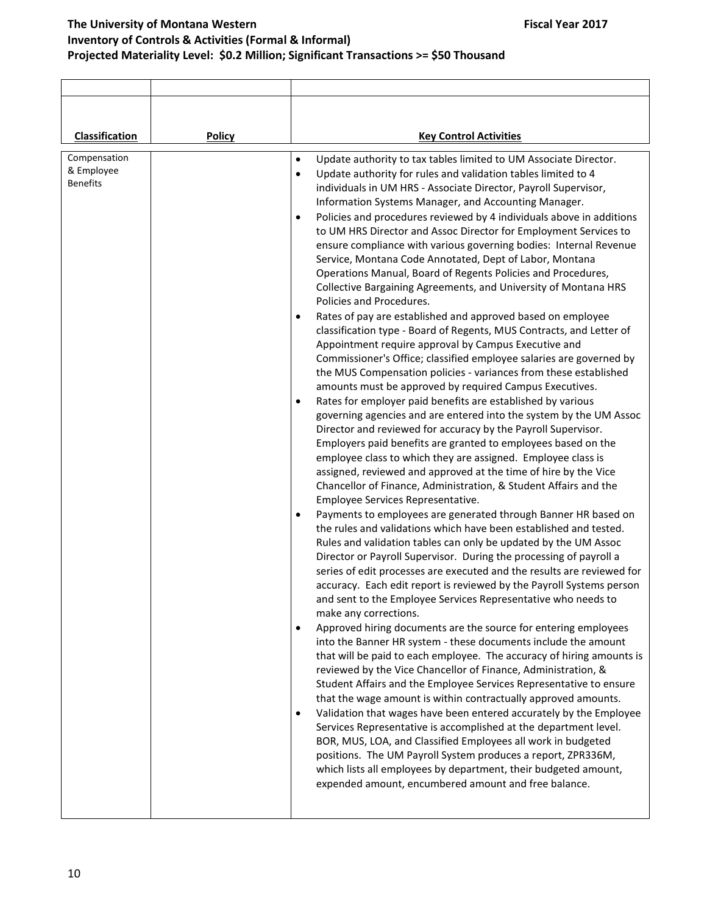| Classification                                | Policy | <b>Key Control Activities</b>                                                                                                                                                                                                                                                                                                                                                                                                                                                                                                                                                                                                                                                                                                                                                                                                                                                                                                                                                                                                                                                                                                                                                                                                                                                                                                                                                                                                                                                                                                                                                                                                                                                                                                                                                                                                                                                                                                                                                                                                                                                                                                                                                                                                                                                                                                                                                                                                                                                                                                                                                                                                                                                                                                                                                                                                                                                                                                                                                                                                         |
|-----------------------------------------------|--------|---------------------------------------------------------------------------------------------------------------------------------------------------------------------------------------------------------------------------------------------------------------------------------------------------------------------------------------------------------------------------------------------------------------------------------------------------------------------------------------------------------------------------------------------------------------------------------------------------------------------------------------------------------------------------------------------------------------------------------------------------------------------------------------------------------------------------------------------------------------------------------------------------------------------------------------------------------------------------------------------------------------------------------------------------------------------------------------------------------------------------------------------------------------------------------------------------------------------------------------------------------------------------------------------------------------------------------------------------------------------------------------------------------------------------------------------------------------------------------------------------------------------------------------------------------------------------------------------------------------------------------------------------------------------------------------------------------------------------------------------------------------------------------------------------------------------------------------------------------------------------------------------------------------------------------------------------------------------------------------------------------------------------------------------------------------------------------------------------------------------------------------------------------------------------------------------------------------------------------------------------------------------------------------------------------------------------------------------------------------------------------------------------------------------------------------------------------------------------------------------------------------------------------------------------------------------------------------------------------------------------------------------------------------------------------------------------------------------------------------------------------------------------------------------------------------------------------------------------------------------------------------------------------------------------------------------------------------------------------------------------------------------------------------|
| Compensation<br>& Employee<br><b>Benefits</b> |        | Update authority to tax tables limited to UM Associate Director.<br>$\bullet$<br>Update authority for rules and validation tables limited to 4<br>$\bullet$<br>individuals in UM HRS - Associate Director, Payroll Supervisor,<br>Information Systems Manager, and Accounting Manager.<br>Policies and procedures reviewed by 4 individuals above in additions<br>٠<br>to UM HRS Director and Assoc Director for Employment Services to<br>ensure compliance with various governing bodies: Internal Revenue<br>Service, Montana Code Annotated, Dept of Labor, Montana<br>Operations Manual, Board of Regents Policies and Procedures,<br>Collective Bargaining Agreements, and University of Montana HRS<br>Policies and Procedures.<br>Rates of pay are established and approved based on employee<br>classification type - Board of Regents, MUS Contracts, and Letter of<br>Appointment require approval by Campus Executive and<br>Commissioner's Office; classified employee salaries are governed by<br>the MUS Compensation policies - variances from these established<br>amounts must be approved by required Campus Executives.<br>Rates for employer paid benefits are established by various<br>٠<br>governing agencies and are entered into the system by the UM Assoc<br>Director and reviewed for accuracy by the Payroll Supervisor.<br>Employers paid benefits are granted to employees based on the<br>employee class to which they are assigned. Employee class is<br>assigned, reviewed and approved at the time of hire by the Vice<br>Chancellor of Finance, Administration, & Student Affairs and the<br>Employee Services Representative.<br>Payments to employees are generated through Banner HR based on<br>the rules and validations which have been established and tested.<br>Rules and validation tables can only be updated by the UM Assoc<br>Director or Payroll Supervisor. During the processing of payroll a<br>series of edit processes are executed and the results are reviewed for<br>accuracy. Each edit report is reviewed by the Payroll Systems person<br>and sent to the Employee Services Representative who needs to<br>make any corrections.<br>Approved hiring documents are the source for entering employees<br>٠<br>into the Banner HR system - these documents include the amount<br>that will be paid to each employee. The accuracy of hiring amounts is<br>reviewed by the Vice Chancellor of Finance, Administration, &<br>Student Affairs and the Employee Services Representative to ensure<br>that the wage amount is within contractually approved amounts.<br>Validation that wages have been entered accurately by the Employee<br>٠<br>Services Representative is accomplished at the department level.<br>BOR, MUS, LOA, and Classified Employees all work in budgeted<br>positions. The UM Payroll System produces a report, ZPR336M,<br>which lists all employees by department, their budgeted amount,<br>expended amount, encumbered amount and free balance. |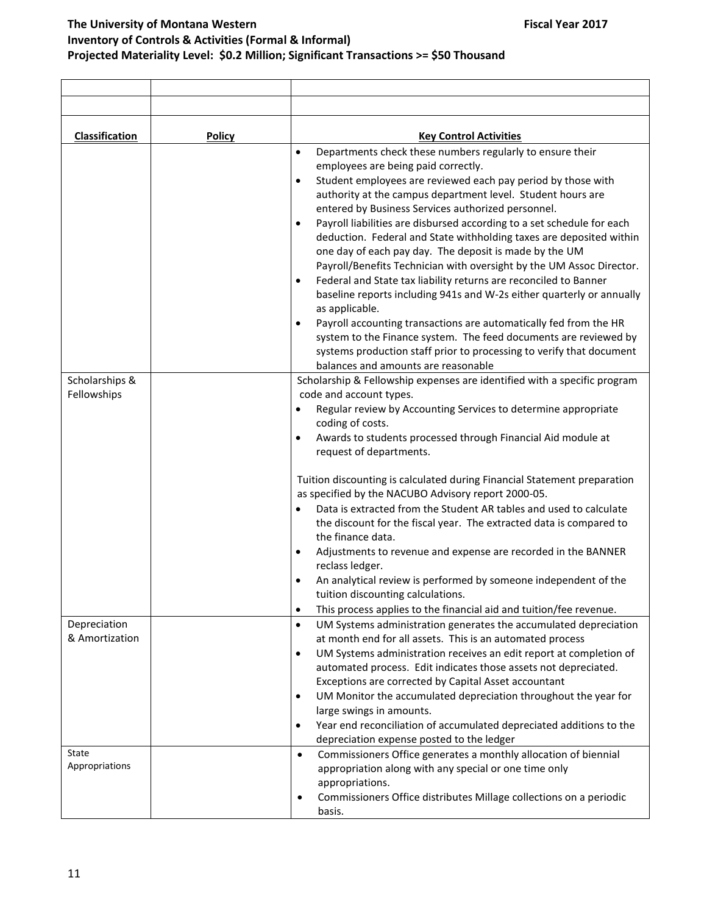| Classification                          | <b>Policy</b> | <b>Key Control Activities</b>                                                                                                                                                                                                                                                                                                                                                                                                                                                                                                                                                                                                                                                                                                                                                                                                                                                                                                                                                                                                                       |
|-----------------------------------------|---------------|-----------------------------------------------------------------------------------------------------------------------------------------------------------------------------------------------------------------------------------------------------------------------------------------------------------------------------------------------------------------------------------------------------------------------------------------------------------------------------------------------------------------------------------------------------------------------------------------------------------------------------------------------------------------------------------------------------------------------------------------------------------------------------------------------------------------------------------------------------------------------------------------------------------------------------------------------------------------------------------------------------------------------------------------------------|
|                                         |               | Departments check these numbers regularly to ensure their<br>$\bullet$<br>employees are being paid correctly.<br>Student employees are reviewed each pay period by those with<br>$\bullet$<br>authority at the campus department level. Student hours are<br>entered by Business Services authorized personnel.<br>Payroll liabilities are disbursed according to a set schedule for each<br>$\bullet$<br>deduction. Federal and State withholding taxes are deposited within<br>one day of each pay day. The deposit is made by the UM<br>Payroll/Benefits Technician with oversight by the UM Assoc Director.<br>Federal and State tax liability returns are reconciled to Banner<br>$\bullet$<br>baseline reports including 941s and W-2s either quarterly or annually<br>as applicable.<br>Payroll accounting transactions are automatically fed from the HR<br>system to the Finance system. The feed documents are reviewed by<br>systems production staff prior to processing to verify that document<br>balances and amounts are reasonable |
|                                         |               |                                                                                                                                                                                                                                                                                                                                                                                                                                                                                                                                                                                                                                                                                                                                                                                                                                                                                                                                                                                                                                                     |
| Scholarships &<br>Fellowships           |               | Scholarship & Fellowship expenses are identified with a specific program<br>code and account types.<br>Regular review by Accounting Services to determine appropriate<br>$\bullet$<br>coding of costs.<br>Awards to students processed through Financial Aid module at<br>request of departments.<br>Tuition discounting is calculated during Financial Statement preparation<br>as specified by the NACUBO Advisory report 2000-05.<br>Data is extracted from the Student AR tables and used to calculate<br>the discount for the fiscal year. The extracted data is compared to<br>the finance data.<br>Adjustments to revenue and expense are recorded in the BANNER<br>reclass ledger.<br>An analytical review is performed by someone independent of the<br>tuition discounting calculations.<br>This process applies to the financial aid and tuition/fee revenue.<br>$\bullet$                                                                                                                                                               |
| Depreciation<br>& Amortization<br>State |               | UM Systems administration generates the accumulated depreciation<br>$\bullet$<br>at month end for all assets. This is an automated process<br>UM Systems administration receives an edit report at completion of<br>$\bullet$<br>automated process. Edit indicates those assets not depreciated.<br>Exceptions are corrected by Capital Asset accountant<br>UM Monitor the accumulated depreciation throughout the year for<br>$\bullet$<br>large swings in amounts.<br>Year end reconciliation of accumulated depreciated additions to the<br>٠<br>depreciation expense posted to the ledger<br>Commissioners Office generates a monthly allocation of biennial<br>$\bullet$                                                                                                                                                                                                                                                                                                                                                                       |
| Appropriations                          |               | appropriation along with any special or one time only<br>appropriations.<br>Commissioners Office distributes Millage collections on a periodic<br>٠<br>basis.                                                                                                                                                                                                                                                                                                                                                                                                                                                                                                                                                                                                                                                                                                                                                                                                                                                                                       |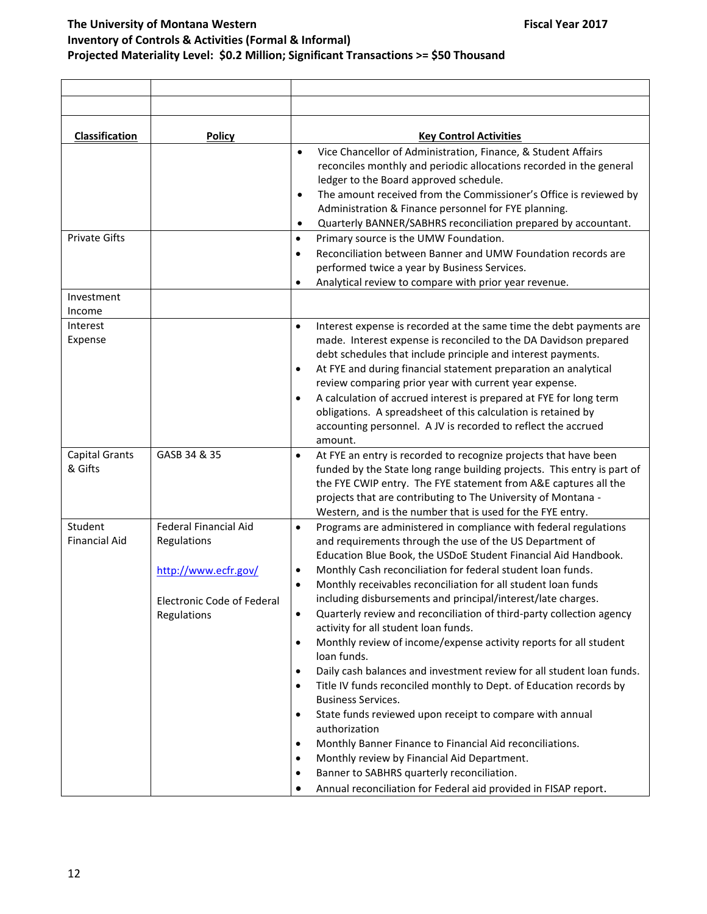| <b>Classification</b>            | <b>Policy</b>                                                                                                    | <b>Key Control Activities</b>                                                                                                                                                                                                                                                                                                                                                                                                                                                                                                                                                                                                                       |
|----------------------------------|------------------------------------------------------------------------------------------------------------------|-----------------------------------------------------------------------------------------------------------------------------------------------------------------------------------------------------------------------------------------------------------------------------------------------------------------------------------------------------------------------------------------------------------------------------------------------------------------------------------------------------------------------------------------------------------------------------------------------------------------------------------------------------|
| <b>Private Gifts</b>             |                                                                                                                  | Vice Chancellor of Administration, Finance, & Student Affairs<br>$\bullet$<br>reconciles monthly and periodic allocations recorded in the general<br>ledger to the Board approved schedule.<br>The amount received from the Commissioner's Office is reviewed by<br>$\bullet$<br>Administration & Finance personnel for FYE planning.<br>Quarterly BANNER/SABHRS reconciliation prepared by accountant.<br>$\bullet$<br>Primary source is the UMW Foundation.<br>$\bullet$                                                                                                                                                                          |
|                                  |                                                                                                                  | Reconciliation between Banner and UMW Foundation records are<br>$\bullet$<br>performed twice a year by Business Services.<br>Analytical review to compare with prior year revenue.<br>$\bullet$                                                                                                                                                                                                                                                                                                                                                                                                                                                     |
| Investment<br>Income             |                                                                                                                  |                                                                                                                                                                                                                                                                                                                                                                                                                                                                                                                                                                                                                                                     |
| Interest<br>Expense              |                                                                                                                  | $\bullet$<br>Interest expense is recorded at the same time the debt payments are<br>made. Interest expense is reconciled to the DA Davidson prepared<br>debt schedules that include principle and interest payments.<br>At FYE and during financial statement preparation an analytical<br>review comparing prior year with current year expense.<br>A calculation of accrued interest is prepared at FYE for long term<br>obligations. A spreadsheet of this calculation is retained by<br>accounting personnel. A JV is recorded to reflect the accrued<br>amount.                                                                                |
| <b>Capital Grants</b><br>& Gifts | GASB 34 & 35                                                                                                     | At FYE an entry is recorded to recognize projects that have been<br>$\bullet$<br>funded by the State long range building projects. This entry is part of<br>the FYE CWIP entry. The FYE statement from A&E captures all the<br>projects that are contributing to The University of Montana -<br>Western, and is the number that is used for the FYE entry.                                                                                                                                                                                                                                                                                          |
| Student<br><b>Financial Aid</b>  | <b>Federal Financial Aid</b><br>Regulations<br>http://www.ecfr.gov/<br>Electronic Code of Federal<br>Regulations | Programs are administered in compliance with federal regulations<br>$\bullet$<br>and requirements through the use of the US Department of<br>Education Blue Book, the USDoE Student Financial Aid Handbook.<br>Monthly Cash reconciliation for federal student loan funds.<br>Monthly receivables reconciliation for all student loan funds<br>including disbursements and principal/interest/late charges.<br>Quarterly review and reconciliation of third-party collection agency<br>٠<br>activity for all student loan funds.                                                                                                                    |
|                                  |                                                                                                                  | Monthly review of income/expense activity reports for all student<br>$\bullet$<br>loan funds.<br>Daily cash balances and investment review for all student loan funds.<br>$\bullet$<br>Title IV funds reconciled monthly to Dept. of Education records by<br>$\bullet$<br><b>Business Services.</b><br>State funds reviewed upon receipt to compare with annual<br>$\bullet$<br>authorization<br>Monthly Banner Finance to Financial Aid reconciliations.<br>Monthly review by Financial Aid Department.<br>$\bullet$<br>Banner to SABHRS quarterly reconciliation.<br>$\bullet$<br>Annual reconciliation for Federal aid provided in FISAP report. |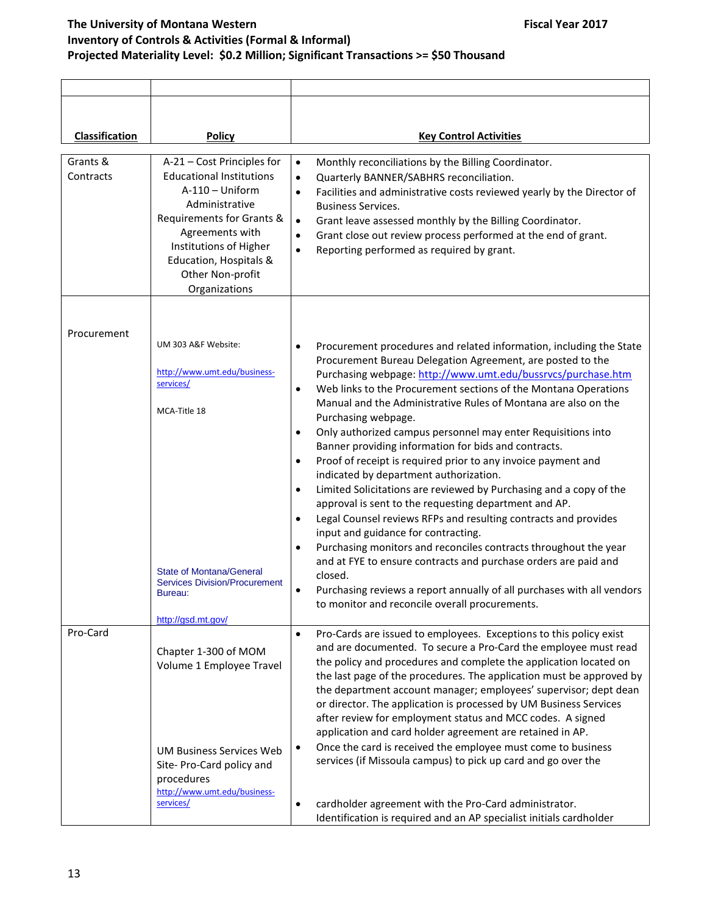| Classification        | <b>Policy</b>                                                                                                                                                                                                                                 | <b>Key Control Activities</b>                                                                                                                                                                                                                                                                                                                                                                                                                                 |
|-----------------------|-----------------------------------------------------------------------------------------------------------------------------------------------------------------------------------------------------------------------------------------------|---------------------------------------------------------------------------------------------------------------------------------------------------------------------------------------------------------------------------------------------------------------------------------------------------------------------------------------------------------------------------------------------------------------------------------------------------------------|
| Grants &<br>Contracts | A-21 - Cost Principles for<br><b>Educational Institutions</b><br>$A-110 - Uniform$<br>Administrative<br>Requirements for Grants &<br>Agreements with<br>Institutions of Higher<br>Education, Hospitals &<br>Other Non-profit<br>Organizations | Monthly reconciliations by the Billing Coordinator.<br>$\bullet$<br>$\bullet$<br>Quarterly BANNER/SABHRS reconciliation.<br>Facilities and administrative costs reviewed yearly by the Director of<br>$\bullet$<br><b>Business Services.</b><br>Grant leave assessed monthly by the Billing Coordinator.<br>$\bullet$<br>Grant close out review process performed at the end of grant.<br>$\bullet$<br>Reporting performed as required by grant.<br>$\bullet$ |
| Procurement           | UM 303 A&F Website:                                                                                                                                                                                                                           |                                                                                                                                                                                                                                                                                                                                                                                                                                                               |
|                       | http://www.umt.edu/business-<br>services/                                                                                                                                                                                                     | Procurement procedures and related information, including the State<br>$\bullet$<br>Procurement Bureau Delegation Agreement, are posted to the<br>Purchasing webpage: http://www.umt.edu/bussrvcs/purchase.htm<br>Web links to the Procurement sections of the Montana Operations<br>$\bullet$                                                                                                                                                                |
|                       | MCA-Title 18                                                                                                                                                                                                                                  | Manual and the Administrative Rules of Montana are also on the<br>Purchasing webpage.<br>Only authorized campus personnel may enter Requisitions into<br>$\bullet$                                                                                                                                                                                                                                                                                            |
|                       |                                                                                                                                                                                                                                               | Banner providing information for bids and contracts.<br>Proof of receipt is required prior to any invoice payment and<br>$\bullet$                                                                                                                                                                                                                                                                                                                            |
|                       |                                                                                                                                                                                                                                               | indicated by department authorization.<br>Limited Solicitations are reviewed by Purchasing and a copy of the<br>$\bullet$<br>approval is sent to the requesting department and AP.                                                                                                                                                                                                                                                                            |
|                       |                                                                                                                                                                                                                                               | Legal Counsel reviews RFPs and resulting contracts and provides<br>$\bullet$<br>input and guidance for contracting.<br>Purchasing monitors and reconciles contracts throughout the year<br>$\bullet$                                                                                                                                                                                                                                                          |
|                       | <b>State of Montana/General</b>                                                                                                                                                                                                               | and at FYE to ensure contracts and purchase orders are paid and<br>closed.                                                                                                                                                                                                                                                                                                                                                                                    |
|                       | <b>Services Division/Procurement</b><br>$\bullet$<br>Bureau:                                                                                                                                                                                  | Purchasing reviews a report annually of all purchases with all vendors<br>to monitor and reconcile overall procurements.                                                                                                                                                                                                                                                                                                                                      |
| Pro-Card              | http://gsd.mt.gov/                                                                                                                                                                                                                            | Pro-Cards are issued to employees. Exceptions to this policy exist<br>$\bullet$                                                                                                                                                                                                                                                                                                                                                                               |
|                       | Chapter 1-300 of MOM<br>Volume 1 Employee Travel                                                                                                                                                                                              | and are documented. To secure a Pro-Card the employee must read<br>the policy and procedures and complete the application located on<br>the last page of the procedures. The application must be approved by<br>the department account manager; employees' supervisor; dept dean<br>or director. The application is processed by UM Business Services                                                                                                         |
|                       | UM Business Services Web                                                                                                                                                                                                                      | after review for employment status and MCC codes. A signed<br>application and card holder agreement are retained in AP.<br>Once the card is received the employee must come to business<br>٠                                                                                                                                                                                                                                                                  |
|                       | Site-Pro-Card policy and<br>procedures<br>http://www.umt.edu/business-                                                                                                                                                                        | services (if Missoula campus) to pick up card and go over the                                                                                                                                                                                                                                                                                                                                                                                                 |
|                       | services/                                                                                                                                                                                                                                     | cardholder agreement with the Pro-Card administrator.<br>Identification is required and an AP specialist initials cardholder                                                                                                                                                                                                                                                                                                                                  |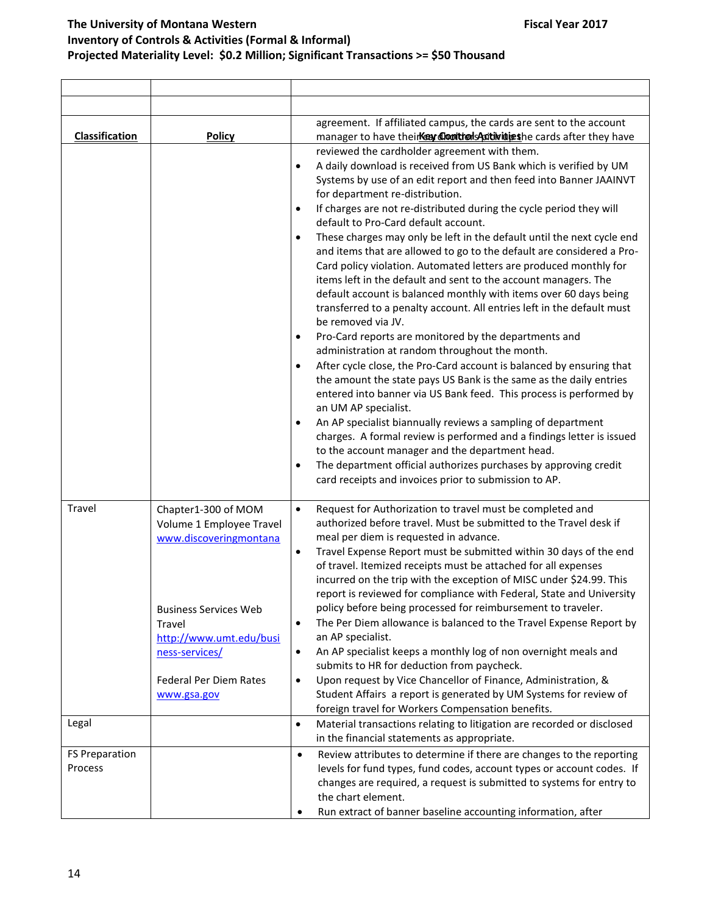| <b>Classification</b>            | <b>Policy</b>                                                                                                       | agreement. If affiliated campus, the cards are sent to the account<br>manager to have their <b>Kew Controls Autivities</b> he cards after they have                                                                                                                                                                                                                                                                                                                                                                                                                                                                                                                                                                                                                                                                                                                                                                                                                                                                                                                                                                                                                                                                                                                                                                                                                                                                                                                                                                                                                                  |
|----------------------------------|---------------------------------------------------------------------------------------------------------------------|--------------------------------------------------------------------------------------------------------------------------------------------------------------------------------------------------------------------------------------------------------------------------------------------------------------------------------------------------------------------------------------------------------------------------------------------------------------------------------------------------------------------------------------------------------------------------------------------------------------------------------------------------------------------------------------------------------------------------------------------------------------------------------------------------------------------------------------------------------------------------------------------------------------------------------------------------------------------------------------------------------------------------------------------------------------------------------------------------------------------------------------------------------------------------------------------------------------------------------------------------------------------------------------------------------------------------------------------------------------------------------------------------------------------------------------------------------------------------------------------------------------------------------------------------------------------------------------|
|                                  |                                                                                                                     | reviewed the cardholder agreement with them.<br>A daily download is received from US Bank which is verified by UM<br>$\bullet$<br>Systems by use of an edit report and then feed into Banner JAAINVT<br>for department re-distribution.<br>If charges are not re-distributed during the cycle period they will<br>$\bullet$<br>default to Pro-Card default account.<br>These charges may only be left in the default until the next cycle end<br>$\bullet$<br>and items that are allowed to go to the default are considered a Pro-<br>Card policy violation. Automated letters are produced monthly for<br>items left in the default and sent to the account managers. The<br>default account is balanced monthly with items over 60 days being<br>transferred to a penalty account. All entries left in the default must<br>be removed via JV.<br>Pro-Card reports are monitored by the departments and<br>$\bullet$<br>administration at random throughout the month.<br>After cycle close, the Pro-Card account is balanced by ensuring that<br>$\bullet$<br>the amount the state pays US Bank is the same as the daily entries<br>entered into banner via US Bank feed. This process is performed by<br>an UM AP specialist.<br>An AP specialist biannually reviews a sampling of department<br>$\bullet$<br>charges. A formal review is performed and a findings letter is issued<br>to the account manager and the department head.<br>The department official authorizes purchases by approving credit<br>$\bullet$<br>card receipts and invoices prior to submission to AP. |
| Travel                           | Chapter1-300 of MOM<br>Volume 1 Employee Travel<br>www.discoveringmontana<br><b>Business Services Web</b><br>Travel | Request for Authorization to travel must be completed and<br>$\bullet$<br>authorized before travel. Must be submitted to the Travel desk if<br>meal per diem is requested in advance.<br>Travel Expense Report must be submitted within 30 days of the end<br>$\bullet$<br>of travel. Itemized receipts must be attached for all expenses<br>incurred on the trip with the exception of MISC under \$24.99. This<br>report is reviewed for compliance with Federal, State and University<br>policy before being processed for reimbursement to traveler.<br>The Per Diem allowance is balanced to the Travel Expense Report by<br>$\bullet$                                                                                                                                                                                                                                                                                                                                                                                                                                                                                                                                                                                                                                                                                                                                                                                                                                                                                                                                          |
|                                  | http://www.umt.edu/busi<br>ness-services/<br><b>Federal Per Diem Rates</b><br>www.gsa.gov                           | an AP specialist.<br>An AP specialist keeps a monthly log of non overnight meals and<br>$\bullet$<br>submits to HR for deduction from paycheck.<br>Upon request by Vice Chancellor of Finance, Administration, &<br>$\bullet$<br>Student Affairs a report is generated by UM Systems for review of                                                                                                                                                                                                                                                                                                                                                                                                                                                                                                                                                                                                                                                                                                                                                                                                                                                                                                                                                                                                                                                                                                                                                                                                                                                                                   |
|                                  |                                                                                                                     | foreign travel for Workers Compensation benefits.                                                                                                                                                                                                                                                                                                                                                                                                                                                                                                                                                                                                                                                                                                                                                                                                                                                                                                                                                                                                                                                                                                                                                                                                                                                                                                                                                                                                                                                                                                                                    |
| Legal                            |                                                                                                                     | Material transactions relating to litigation are recorded or disclosed<br>$\bullet$<br>in the financial statements as appropriate.                                                                                                                                                                                                                                                                                                                                                                                                                                                                                                                                                                                                                                                                                                                                                                                                                                                                                                                                                                                                                                                                                                                                                                                                                                                                                                                                                                                                                                                   |
| <b>FS Preparation</b><br>Process |                                                                                                                     | Review attributes to determine if there are changes to the reporting<br>$\bullet$<br>levels for fund types, fund codes, account types or account codes. If<br>changes are required, a request is submitted to systems for entry to                                                                                                                                                                                                                                                                                                                                                                                                                                                                                                                                                                                                                                                                                                                                                                                                                                                                                                                                                                                                                                                                                                                                                                                                                                                                                                                                                   |
|                                  |                                                                                                                     | the chart element.<br>Run extract of banner baseline accounting information, after                                                                                                                                                                                                                                                                                                                                                                                                                                                                                                                                                                                                                                                                                                                                                                                                                                                                                                                                                                                                                                                                                                                                                                                                                                                                                                                                                                                                                                                                                                   |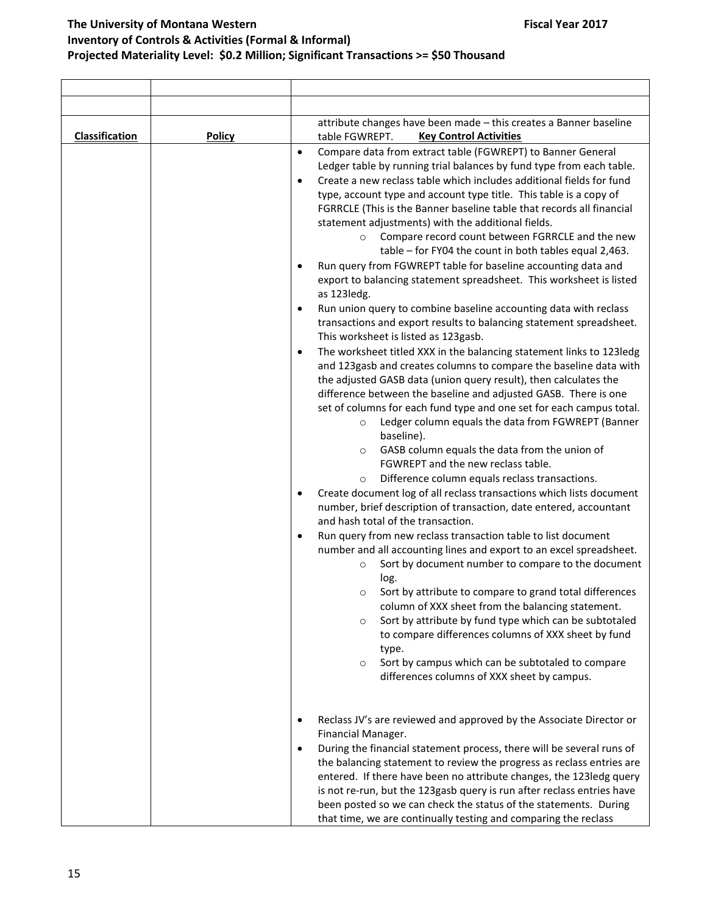| <b>Classification</b> | <b>Policy</b> | attribute changes have been made - this creates a Banner baseline<br><b>Key Control Activities</b><br>table FGWREPT.                                                                                                                                                                                                                                                                                                                                                                                                                                                                                                                                                                                                                                                                                                                                                                                                                                                                                                                                                                                                                                                                                                                                                                                                                                                                                                                                                                                                                                                                                                                                                                                                                                                                                                                                                                                                                                                                                                                                                                                                                                                                                                                                                                                                                              |
|-----------------------|---------------|---------------------------------------------------------------------------------------------------------------------------------------------------------------------------------------------------------------------------------------------------------------------------------------------------------------------------------------------------------------------------------------------------------------------------------------------------------------------------------------------------------------------------------------------------------------------------------------------------------------------------------------------------------------------------------------------------------------------------------------------------------------------------------------------------------------------------------------------------------------------------------------------------------------------------------------------------------------------------------------------------------------------------------------------------------------------------------------------------------------------------------------------------------------------------------------------------------------------------------------------------------------------------------------------------------------------------------------------------------------------------------------------------------------------------------------------------------------------------------------------------------------------------------------------------------------------------------------------------------------------------------------------------------------------------------------------------------------------------------------------------------------------------------------------------------------------------------------------------------------------------------------------------------------------------------------------------------------------------------------------------------------------------------------------------------------------------------------------------------------------------------------------------------------------------------------------------------------------------------------------------------------------------------------------------------------------------------------------------|
|                       |               | Compare data from extract table (FGWREPT) to Banner General<br>$\bullet$<br>Ledger table by running trial balances by fund type from each table.<br>Create a new reclass table which includes additional fields for fund<br>$\bullet$<br>type, account type and account type title. This table is a copy of<br>FGRRCLE (This is the Banner baseline table that records all financial<br>statement adjustments) with the additional fields.<br>Compare record count between FGRRCLE and the new<br>$\circ$<br>table - for FY04 the count in both tables equal 2,463.<br>Run query from FGWREPT table for baseline accounting data and<br>export to balancing statement spreadsheet. This worksheet is listed<br>as 123ledg.<br>Run union query to combine baseline accounting data with reclass<br>٠<br>transactions and export results to balancing statement spreadsheet.<br>This worksheet is listed as 123gasb.<br>The worksheet titled XXX in the balancing statement links to 123ledg<br>$\bullet$<br>and 123gasb and creates columns to compare the baseline data with<br>the adjusted GASB data (union query result), then calculates the<br>difference between the baseline and adjusted GASB. There is one<br>set of columns for each fund type and one set for each campus total.<br>Ledger column equals the data from FGWREPT (Banner<br>$\circ$<br>baseline).<br>GASB column equals the data from the union of<br>$\circ$<br>FGWREPT and the new reclass table.<br>Difference column equals reclass transactions.<br>$\circ$<br>Create document log of all reclass transactions which lists document<br>$\bullet$<br>number, brief description of transaction, date entered, accountant<br>and hash total of the transaction.<br>Run query from new reclass transaction table to list document<br>$\bullet$<br>number and all accounting lines and export to an excel spreadsheet.<br>Sort by document number to compare to the document<br>$\circ$<br>log.<br>Sort by attribute to compare to grand total differences<br>O<br>column of XXX sheet from the balancing statement.<br>Sort by attribute by fund type which can be subtotaled<br>$\circ$<br>to compare differences columns of XXX sheet by fund<br>type.<br>Sort by campus which can be subtotaled to compare<br>$\circ$<br>differences columns of XXX sheet by campus. |
|                       |               | Reclass JV's are reviewed and approved by the Associate Director or<br>$\bullet$<br>Financial Manager.<br>During the financial statement process, there will be several runs of<br>$\bullet$<br>the balancing statement to review the progress as reclass entries are<br>entered. If there have been no attribute changes, the 123ledg query<br>is not re-run, but the 123gasb query is run after reclass entries have<br>been posted so we can check the status of the statements. During<br>that time, we are continually testing and comparing the reclass                                                                                                                                                                                                                                                                                                                                                                                                                                                                                                                                                                                                                                                                                                                                                                                                                                                                                                                                                                                                                                                                                                                                                                                                                                                                                                                                                                                                                                                                                                                                                                                                                                                                                                                                                                                     |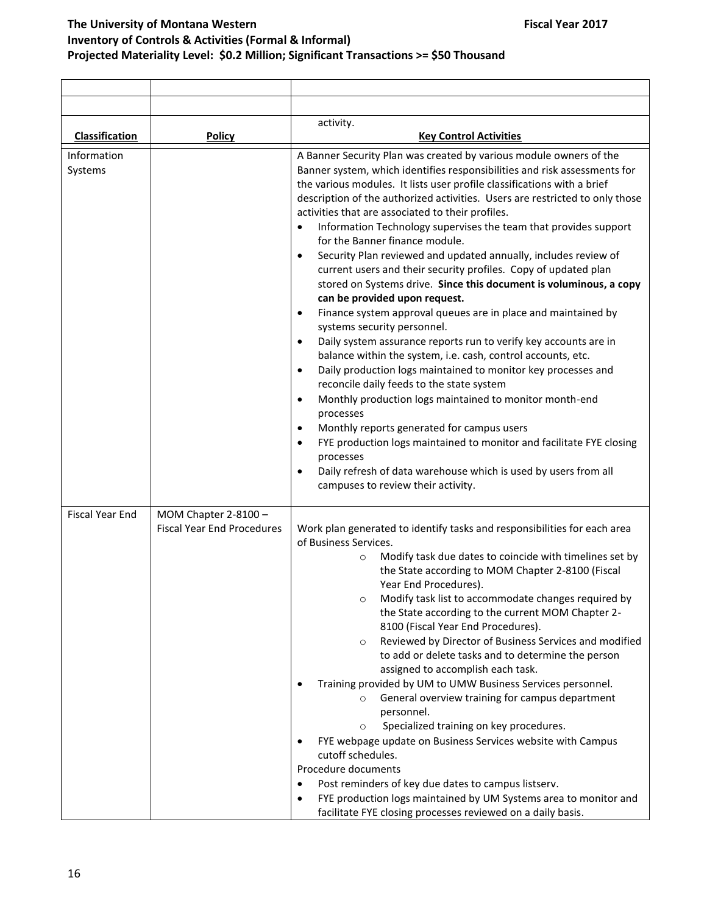|                        |                                                           | activity.                                                                                                                                                                                                                                                                                                                                                                                                                                                                                                                                                                                                                                                                                                                                                                                                                                                                                                                                                                                                                                                                                                                                                                                                                                                                                                                                                                                                                                                                                        |
|------------------------|-----------------------------------------------------------|--------------------------------------------------------------------------------------------------------------------------------------------------------------------------------------------------------------------------------------------------------------------------------------------------------------------------------------------------------------------------------------------------------------------------------------------------------------------------------------------------------------------------------------------------------------------------------------------------------------------------------------------------------------------------------------------------------------------------------------------------------------------------------------------------------------------------------------------------------------------------------------------------------------------------------------------------------------------------------------------------------------------------------------------------------------------------------------------------------------------------------------------------------------------------------------------------------------------------------------------------------------------------------------------------------------------------------------------------------------------------------------------------------------------------------------------------------------------------------------------------|
| Classification         | Policy                                                    | <b>Key Control Activities</b>                                                                                                                                                                                                                                                                                                                                                                                                                                                                                                                                                                                                                                                                                                                                                                                                                                                                                                                                                                                                                                                                                                                                                                                                                                                                                                                                                                                                                                                                    |
| Information<br>Systems |                                                           | A Banner Security Plan was created by various module owners of the<br>Banner system, which identifies responsibilities and risk assessments for<br>the various modules. It lists user profile classifications with a brief<br>description of the authorized activities. Users are restricted to only those<br>activities that are associated to their profiles.<br>Information Technology supervises the team that provides support<br>for the Banner finance module.<br>Security Plan reviewed and updated annually, includes review of<br>$\bullet$<br>current users and their security profiles. Copy of updated plan<br>stored on Systems drive. Since this document is voluminous, a copy<br>can be provided upon request.<br>Finance system approval queues are in place and maintained by<br>$\bullet$<br>systems security personnel.<br>Daily system assurance reports run to verify key accounts are in<br>$\bullet$<br>balance within the system, i.e. cash, control accounts, etc.<br>Daily production logs maintained to monitor key processes and<br>$\bullet$<br>reconcile daily feeds to the state system<br>Monthly production logs maintained to monitor month-end<br>$\bullet$<br>processes<br>Monthly reports generated for campus users<br>$\bullet$<br>FYE production logs maintained to monitor and facilitate FYE closing<br>$\bullet$<br>processes<br>Daily refresh of data warehouse which is used by users from all<br>$\bullet$<br>campuses to review their activity. |
| <b>Fiscal Year End</b> | MOM Chapter 2-8100 -<br><b>Fiscal Year End Procedures</b> | Work plan generated to identify tasks and responsibilities for each area<br>of Business Services.<br>Modify task due dates to coincide with timelines set by<br>$\circ$<br>the State according to MOM Chapter 2-8100 (Fiscal<br>Year End Procedures).<br>Modify task list to accommodate changes required by<br>$\circ$<br>the State according to the current MOM Chapter 2-<br>8100 (Fiscal Year End Procedures).<br>Reviewed by Director of Business Services and modified<br>$\circ$<br>to add or delete tasks and to determine the person<br>assigned to accomplish each task.<br>Training provided by UM to UMW Business Services personnel.<br>General overview training for campus department<br>personnel.<br>Specialized training on key procedures.<br>$\circ$<br>FYE webpage update on Business Services website with Campus<br>cutoff schedules.<br>Procedure documents<br>Post reminders of key due dates to campus listserv.<br>$\bullet$<br>FYE production logs maintained by UM Systems area to monitor and<br>٠<br>facilitate FYE closing processes reviewed on a daily basis.                                                                                                                                                                                                                                                                                                                                                                                                  |